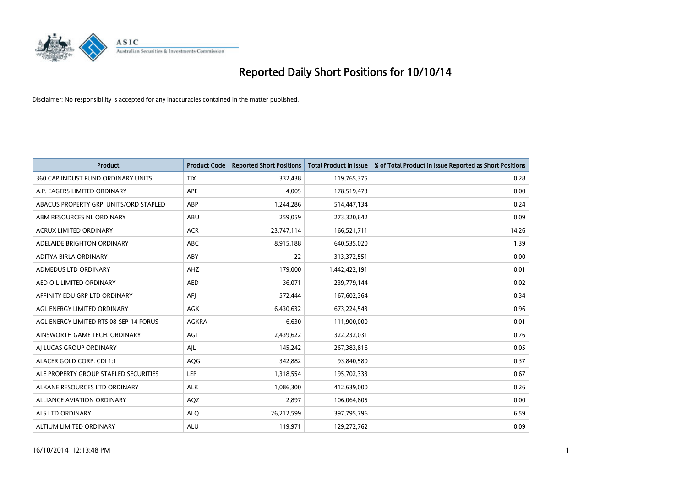

| <b>Product</b>                         | <b>Product Code</b> | <b>Reported Short Positions</b> | <b>Total Product in Issue</b> | % of Total Product in Issue Reported as Short Positions |
|----------------------------------------|---------------------|---------------------------------|-------------------------------|---------------------------------------------------------|
| 360 CAP INDUST FUND ORDINARY UNITS     | <b>TIX</b>          | 332,438                         | 119,765,375                   | 0.28                                                    |
| A.P. EAGERS LIMITED ORDINARY           | APE                 | 4,005                           | 178,519,473                   | 0.00                                                    |
| ABACUS PROPERTY GRP. UNITS/ORD STAPLED | ABP                 | 1,244,286                       | 514,447,134                   | 0.24                                                    |
| ABM RESOURCES NL ORDINARY              | ABU                 | 259,059                         | 273,320,642                   | 0.09                                                    |
| <b>ACRUX LIMITED ORDINARY</b>          | <b>ACR</b>          | 23,747,114                      | 166,521,711                   | 14.26                                                   |
| ADELAIDE BRIGHTON ORDINARY             | <b>ABC</b>          | 8,915,188                       | 640,535,020                   | 1.39                                                    |
| ADITYA BIRLA ORDINARY                  | <b>ABY</b>          | 22                              | 313,372,551                   | 0.00                                                    |
| ADMEDUS LTD ORDINARY                   | AHZ                 | 179,000                         | 1,442,422,191                 | 0.01                                                    |
| AED OIL LIMITED ORDINARY               | <b>AED</b>          | 36,071                          | 239,779,144                   | 0.02                                                    |
| AFFINITY EDU GRP LTD ORDINARY          | AFI                 | 572,444                         | 167,602,364                   | 0.34                                                    |
| AGL ENERGY LIMITED ORDINARY            | AGK                 | 6,430,632                       | 673,224,543                   | 0.96                                                    |
| AGL ENERGY LIMITED RTS 08-SEP-14 FORUS | AGKRA               | 6,630                           | 111,900,000                   | 0.01                                                    |
| AINSWORTH GAME TECH. ORDINARY          | AGI                 | 2,439,622                       | 322,232,031                   | 0.76                                                    |
| AI LUCAS GROUP ORDINARY                | AJL                 | 145,242                         | 267,383,816                   | 0.05                                                    |
| ALACER GOLD CORP. CDI 1:1              | AQG                 | 342,882                         | 93,840,580                    | 0.37                                                    |
| ALE PROPERTY GROUP STAPLED SECURITIES  | LEP                 | 1,318,554                       | 195,702,333                   | 0.67                                                    |
| ALKANE RESOURCES LTD ORDINARY          | <b>ALK</b>          | 1,086,300                       | 412,639,000                   | 0.26                                                    |
| ALLIANCE AVIATION ORDINARY             | AQZ                 | 2,897                           | 106,064,805                   | 0.00                                                    |
| ALS LTD ORDINARY                       | <b>ALO</b>          | 26,212,599                      | 397,795,796                   | 6.59                                                    |
| ALTIUM LIMITED ORDINARY                | <b>ALU</b>          | 119,971                         | 129,272,762                   | 0.09                                                    |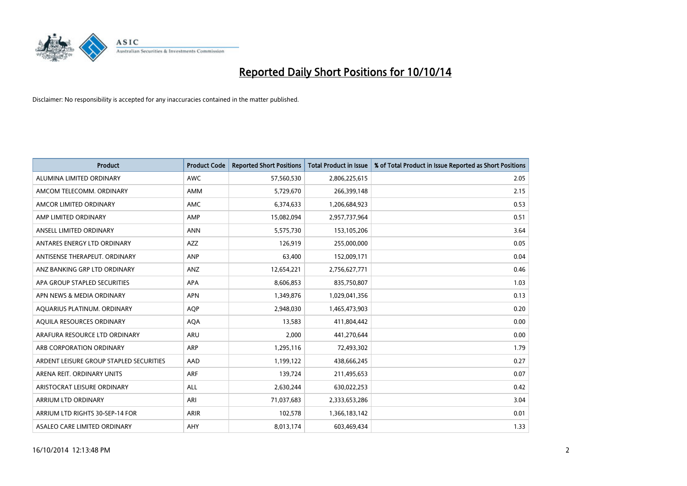

| Product                                 | <b>Product Code</b> | <b>Reported Short Positions</b> | <b>Total Product in Issue</b> | % of Total Product in Issue Reported as Short Positions |
|-----------------------------------------|---------------------|---------------------------------|-------------------------------|---------------------------------------------------------|
| ALUMINA LIMITED ORDINARY                | <b>AWC</b>          | 57,560,530                      | 2,806,225,615                 | 2.05                                                    |
| AMCOM TELECOMM. ORDINARY                | AMM                 | 5,729,670                       | 266,399,148                   | 2.15                                                    |
| AMCOR LIMITED ORDINARY                  | <b>AMC</b>          | 6,374,633                       | 1,206,684,923                 | 0.53                                                    |
| AMP LIMITED ORDINARY                    | AMP                 | 15,082,094                      | 2,957,737,964                 | 0.51                                                    |
| ANSELL LIMITED ORDINARY                 | <b>ANN</b>          | 5,575,730                       | 153,105,206                   | 3.64                                                    |
| ANTARES ENERGY LTD ORDINARY             | <b>AZZ</b>          | 126,919                         | 255,000,000                   | 0.05                                                    |
| ANTISENSE THERAPEUT, ORDINARY           | ANP                 | 63,400                          | 152,009,171                   | 0.04                                                    |
| ANZ BANKING GRP LTD ORDINARY            | ANZ                 | 12,654,221                      | 2,756,627,771                 | 0.46                                                    |
| APA GROUP STAPLED SECURITIES            | APA                 | 8,606,853                       | 835,750,807                   | 1.03                                                    |
| APN NEWS & MEDIA ORDINARY               | <b>APN</b>          | 1,349,876                       | 1,029,041,356                 | 0.13                                                    |
| AQUARIUS PLATINUM. ORDINARY             | AQP                 | 2,948,030                       | 1,465,473,903                 | 0.20                                                    |
| AQUILA RESOURCES ORDINARY               | <b>AQA</b>          | 13,583                          | 411,804,442                   | 0.00                                                    |
| ARAFURA RESOURCE LTD ORDINARY           | <b>ARU</b>          | 2,000                           | 441,270,644                   | 0.00                                                    |
| ARB CORPORATION ORDINARY                | ARP                 | 1,295,116                       | 72,493,302                    | 1.79                                                    |
| ARDENT LEISURE GROUP STAPLED SECURITIES | AAD                 | 1,199,122                       | 438,666,245                   | 0.27                                                    |
| ARENA REIT. ORDINARY UNITS              | <b>ARF</b>          | 139,724                         | 211,495,653                   | 0.07                                                    |
| ARISTOCRAT LEISURE ORDINARY             | <b>ALL</b>          | 2,630,244                       | 630,022,253                   | 0.42                                                    |
| ARRIUM LTD ORDINARY                     | ARI                 | 71,037,683                      | 2,333,653,286                 | 3.04                                                    |
| ARRIUM LTD RIGHTS 30-SEP-14 FOR         | <b>ARIR</b>         | 102,578                         | 1,366,183,142                 | 0.01                                                    |
| ASALEO CARE LIMITED ORDINARY            | AHY                 | 8,013,174                       | 603,469,434                   | 1.33                                                    |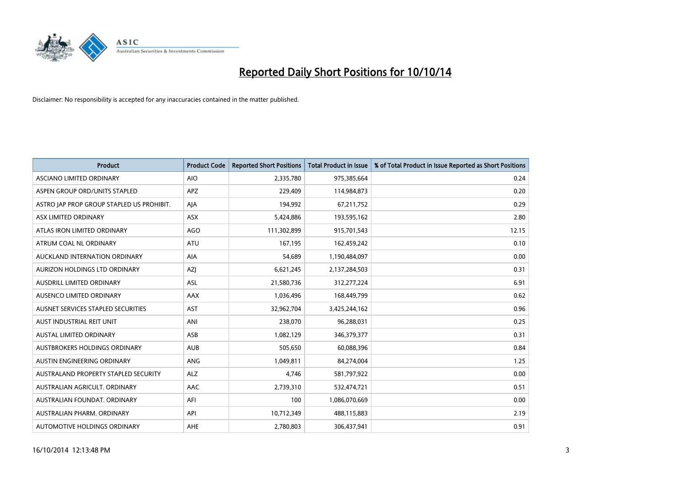

| <b>Product</b>                            | <b>Product Code</b> | <b>Reported Short Positions</b> | <b>Total Product in Issue</b> | % of Total Product in Issue Reported as Short Positions |
|-------------------------------------------|---------------------|---------------------------------|-------------------------------|---------------------------------------------------------|
| <b>ASCIANO LIMITED ORDINARY</b>           | <b>AIO</b>          | 2,335,780                       | 975,385,664                   | 0.24                                                    |
| ASPEN GROUP ORD/UNITS STAPLED             | APZ                 | 229,409                         | 114,984,873                   | 0.20                                                    |
| ASTRO JAP PROP GROUP STAPLED US PROHIBIT. | AJA                 | 194.992                         | 67,211,752                    | 0.29                                                    |
| ASX LIMITED ORDINARY                      | ASX                 | 5,424,886                       | 193,595,162                   | 2.80                                                    |
| ATLAS IRON LIMITED ORDINARY               | <b>AGO</b>          | 111,302,899                     | 915,701,543                   | 12.15                                                   |
| ATRUM COAL NL ORDINARY                    | <b>ATU</b>          | 167,195                         | 162,459,242                   | 0.10                                                    |
| AUCKLAND INTERNATION ORDINARY             | AIA                 | 54,689                          | 1,190,484,097                 | 0.00                                                    |
| AURIZON HOLDINGS LTD ORDINARY             | AZJ                 | 6,621,245                       | 2,137,284,503                 | 0.31                                                    |
| AUSDRILL LIMITED ORDINARY                 | <b>ASL</b>          | 21,580,736                      | 312,277,224                   | 6.91                                                    |
| AUSENCO LIMITED ORDINARY                  | AAX                 | 1,036,496                       | 168,449,799                   | 0.62                                                    |
| AUSNET SERVICES STAPLED SECURITIES        | <b>AST</b>          | 32,962,704                      | 3,425,244,162                 | 0.96                                                    |
| AUST INDUSTRIAL REIT UNIT                 | ANI                 | 238,070                         | 96,288,031                    | 0.25                                                    |
| AUSTAL LIMITED ORDINARY                   | ASB                 | 1,082,129                       | 346,379,377                   | 0.31                                                    |
| AUSTBROKERS HOLDINGS ORDINARY             | <b>AUB</b>          | 505,650                         | 60,088,396                    | 0.84                                                    |
| AUSTIN ENGINEERING ORDINARY               | ANG                 | 1,049,811                       | 84,274,004                    | 1.25                                                    |
| AUSTRALAND PROPERTY STAPLED SECURITY      | <b>ALZ</b>          | 4,746                           | 581,797,922                   | 0.00                                                    |
| AUSTRALIAN AGRICULT. ORDINARY             | AAC                 | 2,739,310                       | 532,474,721                   | 0.51                                                    |
| AUSTRALIAN FOUNDAT, ORDINARY              | AFI                 | 100                             | 1,086,070,669                 | 0.00                                                    |
| AUSTRALIAN PHARM, ORDINARY                | API                 | 10,712,349                      | 488,115,883                   | 2.19                                                    |
| AUTOMOTIVE HOLDINGS ORDINARY              | <b>AHE</b>          | 2,780,803                       | 306,437,941                   | 0.91                                                    |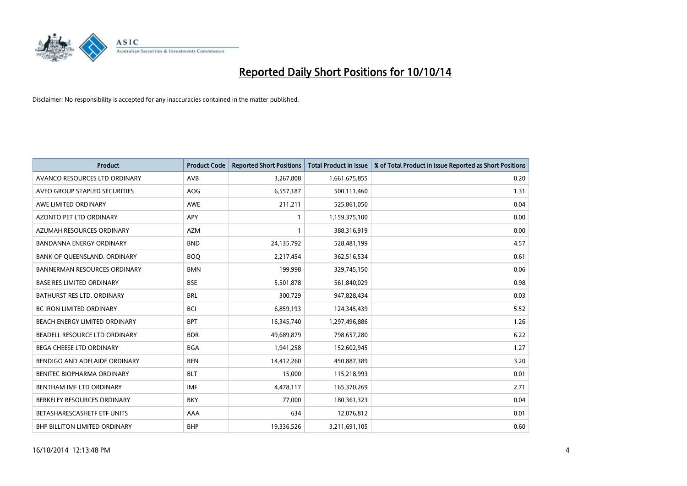

| <b>Product</b>                      | <b>Product Code</b> | <b>Reported Short Positions</b> | <b>Total Product in Issue</b> | % of Total Product in Issue Reported as Short Positions |
|-------------------------------------|---------------------|---------------------------------|-------------------------------|---------------------------------------------------------|
| AVANCO RESOURCES LTD ORDINARY       | AVB                 | 3,267,808                       | 1,661,675,855                 | 0.20                                                    |
| AVEO GROUP STAPLED SECURITIES       | AOG                 | 6,557,187                       | 500,111,460                   | 1.31                                                    |
| AWE LIMITED ORDINARY                | <b>AWE</b>          | 211,211                         | 525,861,050                   | 0.04                                                    |
| AZONTO PET LTD ORDINARY             | APY                 | $\mathbf{1}$                    | 1,159,375,100                 | 0.00                                                    |
| AZUMAH RESOURCES ORDINARY           | AZM                 | $\mathbf{1}$                    | 388,316,919                   | 0.00                                                    |
| <b>BANDANNA ENERGY ORDINARY</b>     | <b>BND</b>          | 24,135,792                      | 528,481,199                   | 4.57                                                    |
| BANK OF QUEENSLAND. ORDINARY        | <b>BOO</b>          | 2,217,454                       | 362,516,534                   | 0.61                                                    |
| <b>BANNERMAN RESOURCES ORDINARY</b> | <b>BMN</b>          | 199,998                         | 329,745,150                   | 0.06                                                    |
| <b>BASE RES LIMITED ORDINARY</b>    | <b>BSE</b>          | 5,501,878                       | 561,840,029                   | 0.98                                                    |
| <b>BATHURST RES LTD. ORDINARY</b>   | <b>BRL</b>          | 300,729                         | 947,828,434                   | 0.03                                                    |
| BC IRON LIMITED ORDINARY            | <b>BCI</b>          | 6,859,193                       | 124,345,439                   | 5.52                                                    |
| BEACH ENERGY LIMITED ORDINARY       | <b>BPT</b>          | 16,345,740                      | 1,297,496,886                 | 1.26                                                    |
| BEADELL RESOURCE LTD ORDINARY       | <b>BDR</b>          | 49,689,879                      | 798,657,280                   | 6.22                                                    |
| <b>BEGA CHEESE LTD ORDINARY</b>     | <b>BGA</b>          | 1,941,258                       | 152,602,945                   | 1.27                                                    |
| BENDIGO AND ADELAIDE ORDINARY       | <b>BEN</b>          | 14,412,260                      | 450,887,389                   | 3.20                                                    |
| BENITEC BIOPHARMA ORDINARY          | <b>BLT</b>          | 15,000                          | 115,218,993                   | 0.01                                                    |
| BENTHAM IMF LTD ORDINARY            | <b>IMF</b>          | 4,478,117                       | 165,370,269                   | 2.71                                                    |
| BERKELEY RESOURCES ORDINARY         | <b>BKY</b>          | 77,000                          | 180,361,323                   | 0.04                                                    |
| BETASHARESCASHETF ETF UNITS         | AAA                 | 634                             | 12,076,812                    | 0.01                                                    |
| BHP BILLITON LIMITED ORDINARY       | <b>BHP</b>          | 19,336,526                      | 3,211,691,105                 | 0.60                                                    |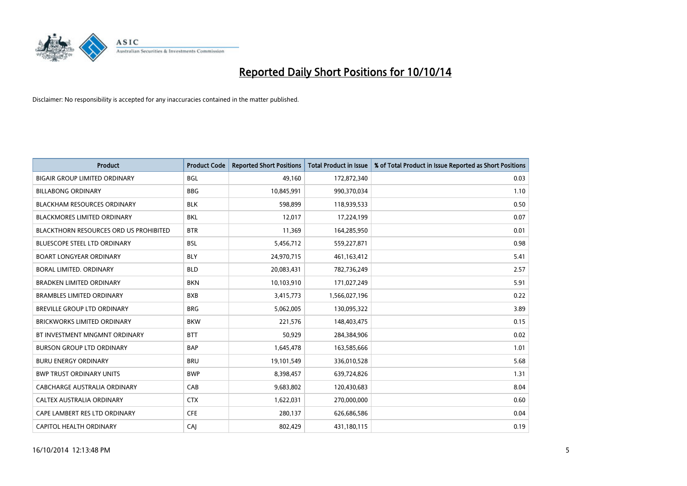

| Product                                       | <b>Product Code</b> | <b>Reported Short Positions</b> | <b>Total Product in Issue</b> | % of Total Product in Issue Reported as Short Positions |
|-----------------------------------------------|---------------------|---------------------------------|-------------------------------|---------------------------------------------------------|
| <b>BIGAIR GROUP LIMITED ORDINARY</b>          | <b>BGL</b>          | 49,160                          | 172,872,340                   | 0.03                                                    |
| <b>BILLABONG ORDINARY</b>                     | <b>BBG</b>          | 10,845,991                      | 990,370,034                   | 1.10                                                    |
| <b>BLACKHAM RESOURCES ORDINARY</b>            | <b>BLK</b>          | 598.899                         | 118,939,533                   | 0.50                                                    |
| BLACKMORES LIMITED ORDINARY                   | BKL                 | 12,017                          | 17,224,199                    | 0.07                                                    |
| <b>BLACKTHORN RESOURCES ORD US PROHIBITED</b> | <b>BTR</b>          | 11,369                          | 164,285,950                   | 0.01                                                    |
| <b>BLUESCOPE STEEL LTD ORDINARY</b>           | <b>BSL</b>          | 5,456,712                       | 559,227,871                   | 0.98                                                    |
| <b>BOART LONGYEAR ORDINARY</b>                | <b>BLY</b>          | 24,970,715                      | 461,163,412                   | 5.41                                                    |
| BORAL LIMITED. ORDINARY                       | <b>BLD</b>          | 20,083,431                      | 782,736,249                   | 2.57                                                    |
| <b>BRADKEN LIMITED ORDINARY</b>               | <b>BKN</b>          | 10,103,910                      | 171,027,249                   | 5.91                                                    |
| <b>BRAMBLES LIMITED ORDINARY</b>              | <b>BXB</b>          | 3,415,773                       | 1,566,027,196                 | 0.22                                                    |
| BREVILLE GROUP LTD ORDINARY                   | <b>BRG</b>          | 5,062,005                       | 130,095,322                   | 3.89                                                    |
| <b>BRICKWORKS LIMITED ORDINARY</b>            | <b>BKW</b>          | 221,576                         | 148,403,475                   | 0.15                                                    |
| BT INVESTMENT MNGMNT ORDINARY                 | <b>BTT</b>          | 50,929                          | 284,384,906                   | 0.02                                                    |
| <b>BURSON GROUP LTD ORDINARY</b>              | <b>BAP</b>          | 1,645,478                       | 163,585,666                   | 1.01                                                    |
| <b>BURU ENERGY ORDINARY</b>                   | <b>BRU</b>          | 19,101,549                      | 336,010,528                   | 5.68                                                    |
| <b>BWP TRUST ORDINARY UNITS</b>               | <b>BWP</b>          | 8,398,457                       | 639,724,826                   | 1.31                                                    |
| CABCHARGE AUSTRALIA ORDINARY                  | CAB                 | 9,683,802                       | 120,430,683                   | 8.04                                                    |
| CALTEX AUSTRALIA ORDINARY                     | <b>CTX</b>          | 1,622,031                       | 270,000,000                   | 0.60                                                    |
| CAPE LAMBERT RES LTD ORDINARY                 | <b>CFE</b>          | 280,137                         | 626,686,586                   | 0.04                                                    |
| CAPITOL HEALTH ORDINARY                       | CAJ                 | 802,429                         | 431,180,115                   | 0.19                                                    |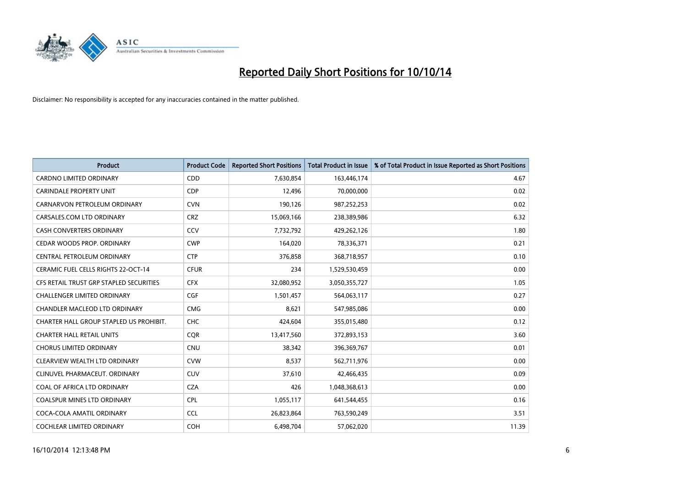

| Product                                 | <b>Product Code</b> | <b>Reported Short Positions</b> | <b>Total Product in Issue</b> | % of Total Product in Issue Reported as Short Positions |
|-----------------------------------------|---------------------|---------------------------------|-------------------------------|---------------------------------------------------------|
| <b>CARDNO LIMITED ORDINARY</b>          | CDD                 | 7,630,854                       | 163,446,174                   | 4.67                                                    |
| <b>CARINDALE PROPERTY UNIT</b>          | <b>CDP</b>          | 12,496                          | 70,000,000                    | 0.02                                                    |
| CARNARVON PETROLEUM ORDINARY            | <b>CVN</b>          | 190,126                         | 987,252,253                   | 0.02                                                    |
| CARSALES.COM LTD ORDINARY               | <b>CRZ</b>          | 15,069,166                      | 238,389,986                   | 6.32                                                    |
| <b>CASH CONVERTERS ORDINARY</b>         | CCV                 | 7,732,792                       | 429,262,126                   | 1.80                                                    |
| CEDAR WOODS PROP. ORDINARY              | <b>CWP</b>          | 164,020                         | 78,336,371                    | 0.21                                                    |
| CENTRAL PETROLEUM ORDINARY              | <b>CTP</b>          | 376,858                         | 368,718,957                   | 0.10                                                    |
| CERAMIC FUEL CELLS RIGHTS 22-OCT-14     | <b>CFUR</b>         | 234                             | 1,529,530,459                 | 0.00                                                    |
| CFS RETAIL TRUST GRP STAPLED SECURITIES | <b>CFX</b>          | 32,080,952                      | 3,050,355,727                 | 1.05                                                    |
| <b>CHALLENGER LIMITED ORDINARY</b>      | <b>CGF</b>          | 1,501,457                       | 564,063,117                   | 0.27                                                    |
| CHANDLER MACLEOD LTD ORDINARY           | <b>CMG</b>          | 8,621                           | 547,985,086                   | 0.00                                                    |
| CHARTER HALL GROUP STAPLED US PROHIBIT. | <b>CHC</b>          | 424,604                         | 355,015,480                   | 0.12                                                    |
| <b>CHARTER HALL RETAIL UNITS</b>        | <b>CQR</b>          | 13,417,560                      | 372,893,153                   | 3.60                                                    |
| <b>CHORUS LIMITED ORDINARY</b>          | <b>CNU</b>          | 38,342                          | 396,369,767                   | 0.01                                                    |
| CLEARVIEW WEALTH LTD ORDINARY           | <b>CVW</b>          | 8,537                           | 562,711,976                   | 0.00                                                    |
| CLINUVEL PHARMACEUT. ORDINARY           | <b>CUV</b>          | 37,610                          | 42,466,435                    | 0.09                                                    |
| COAL OF AFRICA LTD ORDINARY             | <b>CZA</b>          | 426                             | 1,048,368,613                 | 0.00                                                    |
| COALSPUR MINES LTD ORDINARY             | <b>CPL</b>          | 1,055,117                       | 641,544,455                   | 0.16                                                    |
| COCA-COLA AMATIL ORDINARY               | <b>CCL</b>          | 26,823,864                      | 763,590,249                   | 3.51                                                    |
| COCHLEAR LIMITED ORDINARY               | COH                 | 6,498,704                       | 57,062,020                    | 11.39                                                   |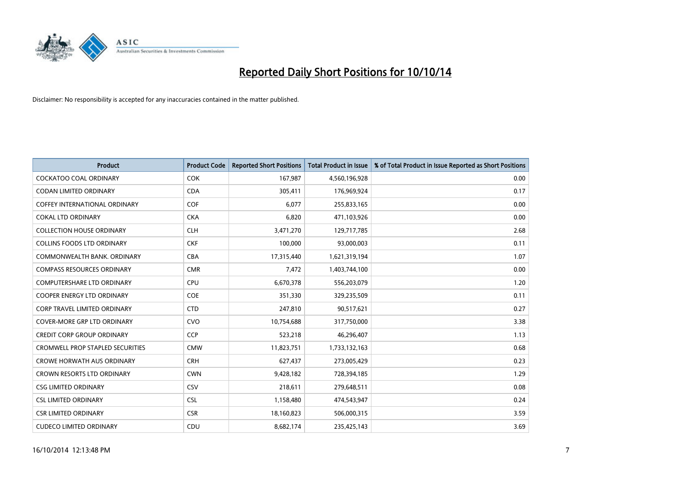

| <b>Product</b>                          | <b>Product Code</b> | <b>Reported Short Positions</b> | <b>Total Product in Issue</b> | % of Total Product in Issue Reported as Short Positions |
|-----------------------------------------|---------------------|---------------------------------|-------------------------------|---------------------------------------------------------|
| <b>COCKATOO COAL ORDINARY</b>           | <b>COK</b>          | 167,987                         | 4,560,196,928                 | 0.00                                                    |
| CODAN LIMITED ORDINARY                  | <b>CDA</b>          | 305,411                         | 176,969,924                   | 0.17                                                    |
| <b>COFFEY INTERNATIONAL ORDINARY</b>    | <b>COF</b>          | 6,077                           | 255,833,165                   | 0.00                                                    |
| <b>COKAL LTD ORDINARY</b>               | <b>CKA</b>          | 6,820                           | 471,103,926                   | 0.00                                                    |
| <b>COLLECTION HOUSE ORDINARY</b>        | <b>CLH</b>          | 3,471,270                       | 129,717,785                   | 2.68                                                    |
| <b>COLLINS FOODS LTD ORDINARY</b>       | <b>CKF</b>          | 100,000                         | 93,000,003                    | 0.11                                                    |
| COMMONWEALTH BANK, ORDINARY             | <b>CBA</b>          | 17,315,440                      | 1,621,319,194                 | 1.07                                                    |
| <b>COMPASS RESOURCES ORDINARY</b>       | <b>CMR</b>          | 7,472                           | 1,403,744,100                 | 0.00                                                    |
| COMPUTERSHARE LTD ORDINARY              | <b>CPU</b>          | 6,670,378                       | 556,203,079                   | 1.20                                                    |
| <b>COOPER ENERGY LTD ORDINARY</b>       | <b>COE</b>          | 351,330                         | 329,235,509                   | 0.11                                                    |
| <b>CORP TRAVEL LIMITED ORDINARY</b>     | <b>CTD</b>          | 247,810                         | 90,517,621                    | 0.27                                                    |
| <b>COVER-MORE GRP LTD ORDINARY</b>      | <b>CVO</b>          | 10,754,688                      | 317,750,000                   | 3.38                                                    |
| <b>CREDIT CORP GROUP ORDINARY</b>       | <b>CCP</b>          | 523,218                         | 46,296,407                    | 1.13                                                    |
| <b>CROMWELL PROP STAPLED SECURITIES</b> | <b>CMW</b>          | 11,823,751                      | 1,733,132,163                 | 0.68                                                    |
| <b>CROWE HORWATH AUS ORDINARY</b>       | <b>CRH</b>          | 627,437                         | 273,005,429                   | 0.23                                                    |
| CROWN RESORTS LTD ORDINARY              | <b>CWN</b>          | 9,428,182                       | 728,394,185                   | 1.29                                                    |
| <b>CSG LIMITED ORDINARY</b>             | CSV                 | 218,611                         | 279,648,511                   | 0.08                                                    |
| <b>CSL LIMITED ORDINARY</b>             | <b>CSL</b>          | 1,158,480                       | 474,543,947                   | 0.24                                                    |
| <b>CSR LIMITED ORDINARY</b>             | <b>CSR</b>          | 18,160,823                      | 506,000,315                   | 3.59                                                    |
| <b>CUDECO LIMITED ORDINARY</b>          | CDU                 | 8,682,174                       | 235,425,143                   | 3.69                                                    |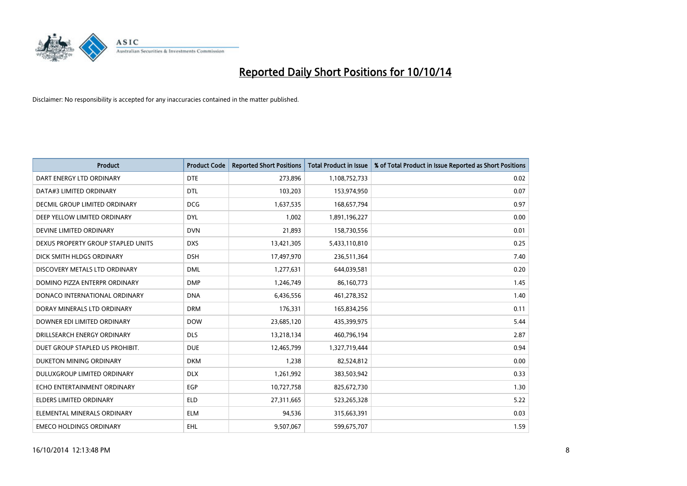

| <b>Product</b>                       | <b>Product Code</b> | <b>Reported Short Positions</b> | <b>Total Product in Issue</b> | % of Total Product in Issue Reported as Short Positions |
|--------------------------------------|---------------------|---------------------------------|-------------------------------|---------------------------------------------------------|
| DART ENERGY LTD ORDINARY             | <b>DTE</b>          | 273,896                         | 1,108,752,733                 | 0.02                                                    |
| DATA#3 LIMITED ORDINARY              | <b>DTL</b>          | 103,203                         | 153,974,950                   | 0.07                                                    |
| <b>DECMIL GROUP LIMITED ORDINARY</b> | <b>DCG</b>          | 1,637,535                       | 168,657,794                   | 0.97                                                    |
| DEEP YELLOW LIMITED ORDINARY         | <b>DYL</b>          | 1,002                           | 1,891,196,227                 | 0.00                                                    |
| DEVINE LIMITED ORDINARY              | <b>DVN</b>          | 21,893                          | 158,730,556                   | 0.01                                                    |
| DEXUS PROPERTY GROUP STAPLED UNITS   | <b>DXS</b>          | 13,421,305                      | 5,433,110,810                 | 0.25                                                    |
| DICK SMITH HLDGS ORDINARY            | <b>DSH</b>          | 17,497,970                      | 236,511,364                   | 7.40                                                    |
| DISCOVERY METALS LTD ORDINARY        | <b>DML</b>          | 1,277,631                       | 644,039,581                   | 0.20                                                    |
| DOMINO PIZZA ENTERPR ORDINARY        | <b>DMP</b>          | 1,246,749                       | 86,160,773                    | 1.45                                                    |
| DONACO INTERNATIONAL ORDINARY        | <b>DNA</b>          | 6,436,556                       | 461,278,352                   | 1.40                                                    |
| DORAY MINERALS LTD ORDINARY          | <b>DRM</b>          | 176,331                         | 165,834,256                   | 0.11                                                    |
| DOWNER EDI LIMITED ORDINARY          | <b>DOW</b>          | 23,685,120                      | 435,399,975                   | 5.44                                                    |
| DRILLSEARCH ENERGY ORDINARY          | <b>DLS</b>          | 13,218,134                      | 460,796,194                   | 2.87                                                    |
| DUET GROUP STAPLED US PROHIBIT.      | <b>DUE</b>          | 12,465,799                      | 1,327,719,444                 | 0.94                                                    |
| DUKETON MINING ORDINARY              | <b>DKM</b>          | 1,238                           | 82,524,812                    | 0.00                                                    |
| DULUXGROUP LIMITED ORDINARY          | <b>DLX</b>          | 1,261,992                       | 383,503,942                   | 0.33                                                    |
| ECHO ENTERTAINMENT ORDINARY          | EGP                 | 10,727,758                      | 825,672,730                   | 1.30                                                    |
| ELDERS LIMITED ORDINARY              | <b>ELD</b>          | 27,311,665                      | 523,265,328                   | 5.22                                                    |
| ELEMENTAL MINERALS ORDINARY          | <b>ELM</b>          | 94,536                          | 315,663,391                   | 0.03                                                    |
| <b>EMECO HOLDINGS ORDINARY</b>       | EHL                 | 9,507,067                       | 599,675,707                   | 1.59                                                    |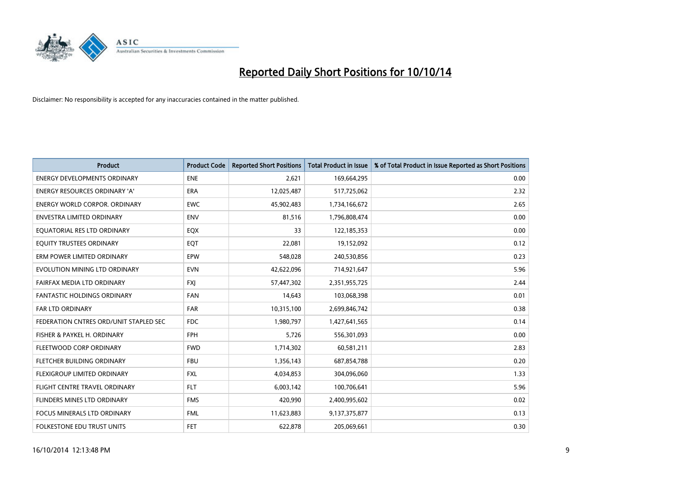

| <b>Product</b>                         | <b>Product Code</b> | <b>Reported Short Positions</b> | <b>Total Product in Issue</b> | % of Total Product in Issue Reported as Short Positions |
|----------------------------------------|---------------------|---------------------------------|-------------------------------|---------------------------------------------------------|
| <b>ENERGY DEVELOPMENTS ORDINARY</b>    | <b>ENE</b>          | 2,621                           | 169,664,295                   | 0.00                                                    |
| ENERGY RESOURCES ORDINARY 'A'          | <b>ERA</b>          | 12,025,487                      | 517,725,062                   | 2.32                                                    |
| ENERGY WORLD CORPOR. ORDINARY          | <b>EWC</b>          | 45,902,483                      | 1,734,166,672                 | 2.65                                                    |
| ENVESTRA LIMITED ORDINARY              | <b>ENV</b>          | 81,516                          | 1,796,808,474                 | 0.00                                                    |
| EQUATORIAL RES LTD ORDINARY            | EQX                 | 33                              | 122,185,353                   | 0.00                                                    |
| EQUITY TRUSTEES ORDINARY               | EQT                 | 22,081                          | 19,152,092                    | 0.12                                                    |
| ERM POWER LIMITED ORDINARY             | <b>EPW</b>          | 548,028                         | 240,530,856                   | 0.23                                                    |
| EVOLUTION MINING LTD ORDINARY          | <b>EVN</b>          | 42,622,096                      | 714,921,647                   | 5.96                                                    |
| FAIRFAX MEDIA LTD ORDINARY             | <b>FXI</b>          | 57,447,302                      | 2,351,955,725                 | 2.44                                                    |
| <b>FANTASTIC HOLDINGS ORDINARY</b>     | <b>FAN</b>          | 14,643                          | 103,068,398                   | 0.01                                                    |
| <b>FAR LTD ORDINARY</b>                | <b>FAR</b>          | 10,315,100                      | 2,699,846,742                 | 0.38                                                    |
| FEDERATION CNTRES ORD/UNIT STAPLED SEC | FDC                 | 1,980,797                       | 1,427,641,565                 | 0.14                                                    |
| FISHER & PAYKEL H. ORDINARY            | <b>FPH</b>          | 5,726                           | 556,301,093                   | 0.00                                                    |
| FLEETWOOD CORP ORDINARY                | <b>FWD</b>          | 1,714,302                       | 60,581,211                    | 2.83                                                    |
| FLETCHER BUILDING ORDINARY             | <b>FBU</b>          | 1,356,143                       | 687,854,788                   | 0.20                                                    |
| FLEXIGROUP LIMITED ORDINARY            | <b>FXL</b>          | 4,034,853                       | 304,096,060                   | 1.33                                                    |
| <b>FLIGHT CENTRE TRAVEL ORDINARY</b>   | <b>FLT</b>          | 6,003,142                       | 100,706,641                   | 5.96                                                    |
| FLINDERS MINES LTD ORDINARY            | <b>FMS</b>          | 420,990                         | 2,400,995,602                 | 0.02                                                    |
| <b>FOCUS MINERALS LTD ORDINARY</b>     | <b>FML</b>          | 11,623,883                      | 9,137,375,877                 | 0.13                                                    |
| FOLKESTONE EDU TRUST UNITS             | <b>FET</b>          | 622,878                         | 205,069,661                   | 0.30                                                    |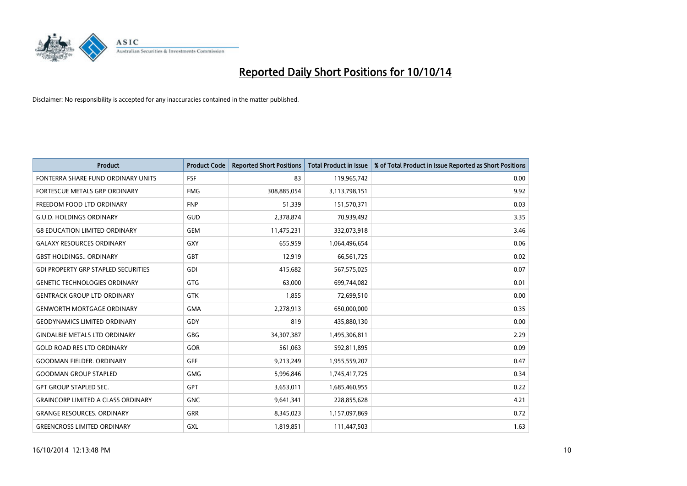

| <b>Product</b>                             | <b>Product Code</b> | <b>Reported Short Positions</b> | <b>Total Product in Issue</b> | % of Total Product in Issue Reported as Short Positions |
|--------------------------------------------|---------------------|---------------------------------|-------------------------------|---------------------------------------------------------|
| FONTERRA SHARE FUND ORDINARY UNITS         | <b>FSF</b>          | 83                              | 119,965,742                   | 0.00                                                    |
| FORTESCUE METALS GRP ORDINARY              | <b>FMG</b>          | 308,885,054                     | 3,113,798,151                 | 9.92                                                    |
| FREEDOM FOOD LTD ORDINARY                  | <b>FNP</b>          | 51,339                          | 151,570,371                   | 0.03                                                    |
| <b>G.U.D. HOLDINGS ORDINARY</b>            | GUD                 | 2,378,874                       | 70,939,492                    | 3.35                                                    |
| <b>G8 EDUCATION LIMITED ORDINARY</b>       | <b>GEM</b>          | 11,475,231                      | 332,073,918                   | 3.46                                                    |
| <b>GALAXY RESOURCES ORDINARY</b>           | <b>GXY</b>          | 655,959                         | 1,064,496,654                 | 0.06                                                    |
| <b>GBST HOLDINGS., ORDINARY</b>            | <b>GBT</b>          | 12,919                          | 66,561,725                    | 0.02                                                    |
| <b>GDI PROPERTY GRP STAPLED SECURITIES</b> | <b>GDI</b>          | 415,682                         | 567,575,025                   | 0.07                                                    |
| <b>GENETIC TECHNOLOGIES ORDINARY</b>       | <b>GTG</b>          | 63,000                          | 699,744,082                   | 0.01                                                    |
| <b>GENTRACK GROUP LTD ORDINARY</b>         | <b>GTK</b>          | 1,855                           | 72,699,510                    | 0.00                                                    |
| <b>GENWORTH MORTGAGE ORDINARY</b>          | <b>GMA</b>          | 2,278,913                       | 650,000,000                   | 0.35                                                    |
| <b>GEODYNAMICS LIMITED ORDINARY</b>        | GDY                 | 819                             | 435,880,130                   | 0.00                                                    |
| <b>GINDALBIE METALS LTD ORDINARY</b>       | GBG                 | 34,307,387                      | 1,495,306,811                 | 2.29                                                    |
| <b>GOLD ROAD RES LTD ORDINARY</b>          | GOR                 | 561,063                         | 592,811,895                   | 0.09                                                    |
| <b>GOODMAN FIELDER, ORDINARY</b>           | <b>GFF</b>          | 9,213,249                       | 1,955,559,207                 | 0.47                                                    |
| <b>GOODMAN GROUP STAPLED</b>               | <b>GMG</b>          | 5,996,846                       | 1,745,417,725                 | 0.34                                                    |
| <b>GPT GROUP STAPLED SEC.</b>              | GPT                 | 3,653,011                       | 1,685,460,955                 | 0.22                                                    |
| <b>GRAINCORP LIMITED A CLASS ORDINARY</b>  | <b>GNC</b>          | 9,641,341                       | 228,855,628                   | 4.21                                                    |
| <b>GRANGE RESOURCES, ORDINARY</b>          | <b>GRR</b>          | 8,345,023                       | 1,157,097,869                 | 0.72                                                    |
| <b>GREENCROSS LIMITED ORDINARY</b>         | GXL                 | 1,819,851                       | 111,447,503                   | 1.63                                                    |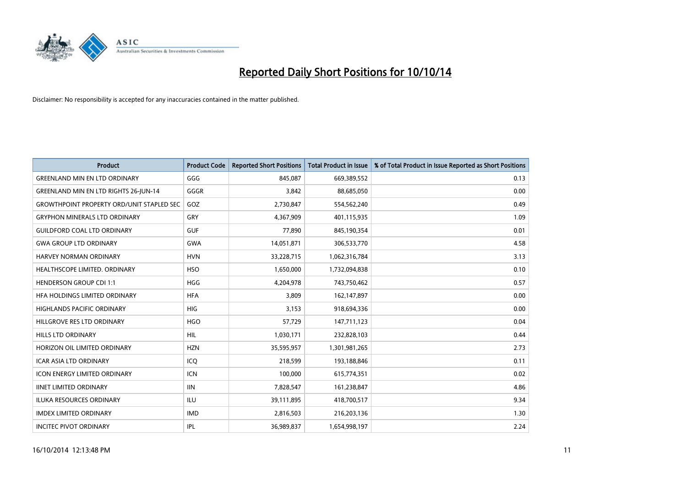

| <b>Product</b>                                   | <b>Product Code</b> | <b>Reported Short Positions</b> | <b>Total Product in Issue</b> | % of Total Product in Issue Reported as Short Positions |
|--------------------------------------------------|---------------------|---------------------------------|-------------------------------|---------------------------------------------------------|
| <b>GREENLAND MIN EN LTD ORDINARY</b>             | GGG                 | 845,087                         | 669,389,552                   | 0.13                                                    |
| <b>GREENLAND MIN EN LTD RIGHTS 26-JUN-14</b>     | GGGR                | 3,842                           | 88,685,050                    | 0.00                                                    |
| <b>GROWTHPOINT PROPERTY ORD/UNIT STAPLED SEC</b> | GOZ                 | 2,730,847                       | 554,562,240                   | 0.49                                                    |
| <b>GRYPHON MINERALS LTD ORDINARY</b>             | GRY                 | 4,367,909                       | 401,115,935                   | 1.09                                                    |
| <b>GUILDFORD COAL LTD ORDINARY</b>               | <b>GUF</b>          | 77,890                          | 845,190,354                   | 0.01                                                    |
| <b>GWA GROUP LTD ORDINARY</b>                    | <b>GWA</b>          | 14,051,871                      | 306,533,770                   | 4.58                                                    |
| HARVEY NORMAN ORDINARY                           | <b>HVN</b>          | 33,228,715                      | 1,062,316,784                 | 3.13                                                    |
| <b>HEALTHSCOPE LIMITED, ORDINARY</b>             | <b>HSO</b>          | 1,650,000                       | 1,732,094,838                 | 0.10                                                    |
| <b>HENDERSON GROUP CDI 1:1</b>                   | <b>HGG</b>          | 4,204,978                       | 743,750,462                   | 0.57                                                    |
| HEA HOLDINGS LIMITED ORDINARY                    | <b>HFA</b>          | 3,809                           | 162,147,897                   | 0.00                                                    |
| HIGHLANDS PACIFIC ORDINARY                       | HIG.                | 3,153                           | 918,694,336                   | 0.00                                                    |
| HILLGROVE RES LTD ORDINARY                       | <b>HGO</b>          | 57,729                          | 147,711,123                   | 0.04                                                    |
| HILLS LTD ORDINARY                               | <b>HIL</b>          | 1,030,171                       | 232,828,103                   | 0.44                                                    |
| HORIZON OIL LIMITED ORDINARY                     | <b>HZN</b>          | 35,595,957                      | 1,301,981,265                 | 2.73                                                    |
| <b>ICAR ASIA LTD ORDINARY</b>                    | ICQ                 | 218,599                         | 193,188,846                   | 0.11                                                    |
| <b>ICON ENERGY LIMITED ORDINARY</b>              | <b>ICN</b>          | 100,000                         | 615,774,351                   | 0.02                                                    |
| <b>IINET LIMITED ORDINARY</b>                    | <b>IIN</b>          | 7,828,547                       | 161,238,847                   | 4.86                                                    |
| ILUKA RESOURCES ORDINARY                         | ILU                 | 39,111,895                      | 418,700,517                   | 9.34                                                    |
| <b>IMDEX LIMITED ORDINARY</b>                    | <b>IMD</b>          | 2,816,503                       | 216,203,136                   | 1.30                                                    |
| <b>INCITEC PIVOT ORDINARY</b>                    | IPL                 | 36,989,837                      | 1,654,998,197                 | 2.24                                                    |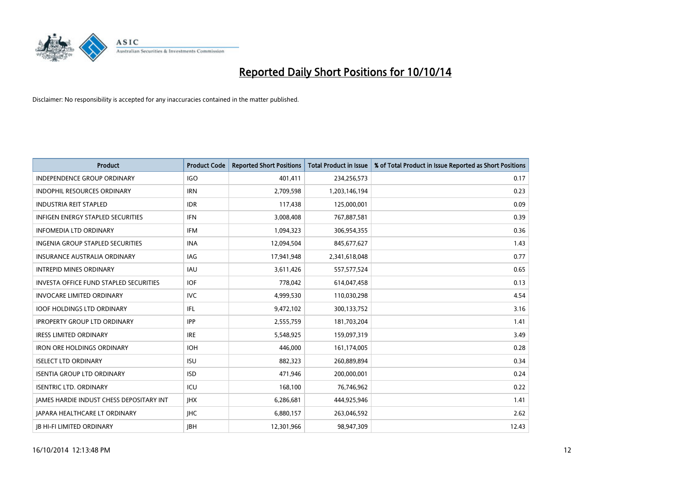

| <b>Product</b>                           | <b>Product Code</b> | <b>Reported Short Positions</b> | <b>Total Product in Issue</b> | % of Total Product in Issue Reported as Short Positions |
|------------------------------------------|---------------------|---------------------------------|-------------------------------|---------------------------------------------------------|
| <b>INDEPENDENCE GROUP ORDINARY</b>       | <b>IGO</b>          | 401,411                         | 234,256,573                   | 0.17                                                    |
| INDOPHIL RESOURCES ORDINARY              | <b>IRN</b>          | 2,709,598                       | 1,203,146,194                 | 0.23                                                    |
| <b>INDUSTRIA REIT STAPLED</b>            | <b>IDR</b>          | 117,438                         | 125,000,001                   | 0.09                                                    |
| INFIGEN ENERGY STAPLED SECURITIES        | <b>IFN</b>          | 3,008,408                       | 767,887,581                   | 0.39                                                    |
| <b>INFOMEDIA LTD ORDINARY</b>            | <b>IFM</b>          | 1,094,323                       | 306,954,355                   | 0.36                                                    |
| <b>INGENIA GROUP STAPLED SECURITIES</b>  | <b>INA</b>          | 12,094,504                      | 845,677,627                   | 1.43                                                    |
| <b>INSURANCE AUSTRALIA ORDINARY</b>      | IAG                 | 17,941,948                      | 2,341,618,048                 | 0.77                                                    |
| <b>INTREPID MINES ORDINARY</b>           | <b>IAU</b>          | 3,611,426                       | 557,577,524                   | 0.65                                                    |
| INVESTA OFFICE FUND STAPLED SECURITIES   | <b>IOF</b>          | 778,042                         | 614,047,458                   | 0.13                                                    |
| <b>INVOCARE LIMITED ORDINARY</b>         | <b>IVC</b>          | 4,999,530                       | 110,030,298                   | 4.54                                                    |
| <b>IOOF HOLDINGS LTD ORDINARY</b>        | IFL                 | 9,472,102                       | 300,133,752                   | 3.16                                                    |
| <b>IPROPERTY GROUP LTD ORDINARY</b>      | <b>IPP</b>          | 2,555,759                       | 181,703,204                   | 1.41                                                    |
| <b>IRESS LIMITED ORDINARY</b>            | <b>IRE</b>          | 5,548,925                       | 159,097,319                   | 3.49                                                    |
| <b>IRON ORE HOLDINGS ORDINARY</b>        | <b>IOH</b>          | 446,000                         | 161,174,005                   | 0.28                                                    |
| <b>ISELECT LTD ORDINARY</b>              | <b>ISU</b>          | 882,323                         | 260,889,894                   | 0.34                                                    |
| <b>ISENTIA GROUP LTD ORDINARY</b>        | <b>ISD</b>          | 471,946                         | 200,000,001                   | 0.24                                                    |
| <b>ISENTRIC LTD. ORDINARY</b>            | ICU                 | 168,100                         | 76,746,962                    | 0.22                                                    |
| JAMES HARDIE INDUST CHESS DEPOSITARY INT | <b>IHX</b>          | 6,286,681                       | 444,925,946                   | 1.41                                                    |
| <b>IAPARA HEALTHCARE LT ORDINARY</b>     | <b>IHC</b>          | 6,880,157                       | 263,046,592                   | 2.62                                                    |
| <b>IB HI-FI LIMITED ORDINARY</b>         | <b>IBH</b>          | 12,301,966                      | 98,947,309                    | 12.43                                                   |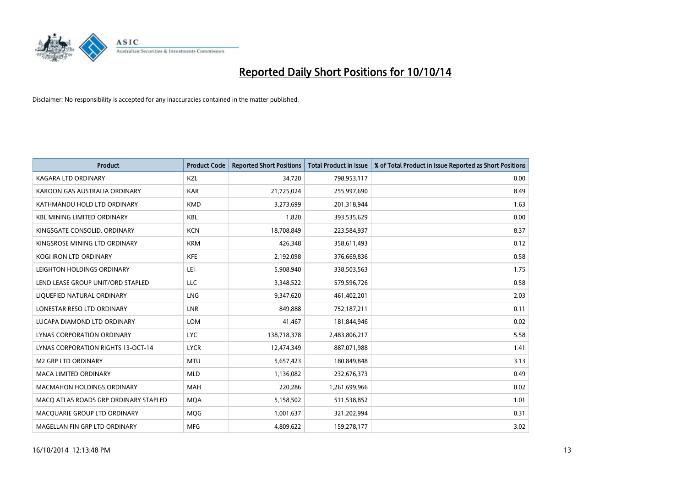

| <b>Product</b>                        | <b>Product Code</b> | <b>Reported Short Positions</b> | <b>Total Product in Issue</b> | % of Total Product in Issue Reported as Short Positions |
|---------------------------------------|---------------------|---------------------------------|-------------------------------|---------------------------------------------------------|
| <b>KAGARA LTD ORDINARY</b>            | KZL                 | 34,720                          | 798,953,117                   | 0.00                                                    |
| KAROON GAS AUSTRALIA ORDINARY         | <b>KAR</b>          | 21,725,024                      | 255,997,690                   | 8.49                                                    |
| KATHMANDU HOLD LTD ORDINARY           | <b>KMD</b>          | 3,273,699                       | 201,318,944                   | 1.63                                                    |
| <b>KBL MINING LIMITED ORDINARY</b>    | <b>KBL</b>          | 1,820                           | 393,535,629                   | 0.00                                                    |
| KINGSGATE CONSOLID. ORDINARY          | <b>KCN</b>          | 18,708,849                      | 223,584,937                   | 8.37                                                    |
| KINGSROSE MINING LTD ORDINARY         | <b>KRM</b>          | 426,348                         | 358,611,493                   | 0.12                                                    |
| KOGI IRON LTD ORDINARY                | <b>KFE</b>          | 2,192,098                       | 376,669,836                   | 0.58                                                    |
| LEIGHTON HOLDINGS ORDINARY            | LEI                 | 5,908,940                       | 338,503,563                   | 1.75                                                    |
| LEND LEASE GROUP UNIT/ORD STAPLED     | <b>LLC</b>          | 3,348,522                       | 579,596,726                   | 0.58                                                    |
| LIQUEFIED NATURAL ORDINARY            | <b>LNG</b>          | 9,347,620                       | 461,402,201                   | 2.03                                                    |
| LONESTAR RESO LTD ORDINARY            | <b>LNR</b>          | 849,888                         | 752,187,211                   | 0.11                                                    |
| LUCAPA DIAMOND LTD ORDINARY           | LOM                 | 41,467                          | 181,844,946                   | 0.02                                                    |
| LYNAS CORPORATION ORDINARY            | <b>LYC</b>          | 138,718,378                     | 2,483,806,217                 | 5.58                                                    |
| LYNAS CORPORATION RIGHTS 13-OCT-14    | <b>LYCR</b>         | 12,474,349                      | 887,071,988                   | 1.41                                                    |
| <b>M2 GRP LTD ORDINARY</b>            | <b>MTU</b>          | 5,657,423                       | 180,849,848                   | 3.13                                                    |
| MACA LIMITED ORDINARY                 | <b>MLD</b>          | 1,136,082                       | 232,676,373                   | 0.49                                                    |
| MACMAHON HOLDINGS ORDINARY            | MAH                 | 220,286                         | 1,261,699,966                 | 0.02                                                    |
| MACO ATLAS ROADS GRP ORDINARY STAPLED | <b>MOA</b>          | 5,158,502                       | 511,538,852                   | 1.01                                                    |
| MACQUARIE GROUP LTD ORDINARY          | <b>MOG</b>          | 1,001,637                       | 321,202,994                   | 0.31                                                    |
| MAGELLAN FIN GRP LTD ORDINARY         | <b>MFG</b>          | 4,809,622                       | 159,278,177                   | 3.02                                                    |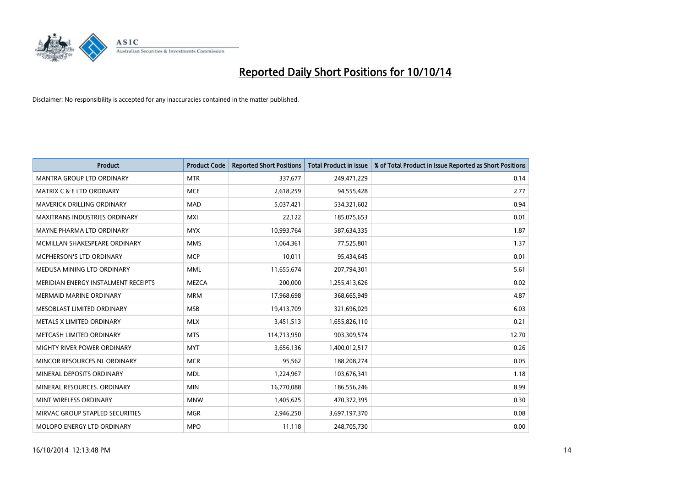

| <b>Product</b>                       | <b>Product Code</b> | <b>Reported Short Positions</b> | <b>Total Product in Issue</b> | % of Total Product in Issue Reported as Short Positions |
|--------------------------------------|---------------------|---------------------------------|-------------------------------|---------------------------------------------------------|
| <b>MANTRA GROUP LTD ORDINARY</b>     | <b>MTR</b>          | 337,677                         | 249,471,229                   | 0.14                                                    |
| <b>MATRIX C &amp; E LTD ORDINARY</b> | <b>MCE</b>          | 2,618,259                       | 94,555,428                    | 2.77                                                    |
| MAVERICK DRILLING ORDINARY           | <b>MAD</b>          | 5,037,421                       | 534,321,602                   | 0.94                                                    |
| <b>MAXITRANS INDUSTRIES ORDINARY</b> | <b>MXI</b>          | 22,122                          | 185,075,653                   | 0.01                                                    |
| MAYNE PHARMA LTD ORDINARY            | <b>MYX</b>          | 10,993,764                      | 587,634,335                   | 1.87                                                    |
| MCMILLAN SHAKESPEARE ORDINARY        | <b>MMS</b>          | 1,064,361                       | 77,525,801                    | 1.37                                                    |
| <b>MCPHERSON'S LTD ORDINARY</b>      | <b>MCP</b>          | 10,011                          | 95,434,645                    | 0.01                                                    |
| MEDUSA MINING LTD ORDINARY           | <b>MML</b>          | 11,655,674                      | 207,794,301                   | 5.61                                                    |
| MERIDIAN ENERGY INSTALMENT RECEIPTS  | <b>MEZCA</b>        | 200,000                         | 1,255,413,626                 | 0.02                                                    |
| <b>MERMAID MARINE ORDINARY</b>       | <b>MRM</b>          | 17,968,698                      | 368,665,949                   | 4.87                                                    |
| MESOBLAST LIMITED ORDINARY           | <b>MSB</b>          | 19,413,709                      | 321,696,029                   | 6.03                                                    |
| METALS X LIMITED ORDINARY            | <b>MLX</b>          | 3,451,513                       | 1,655,826,110                 | 0.21                                                    |
| METCASH LIMITED ORDINARY             | <b>MTS</b>          | 114,713,950                     | 903,309,574                   | 12.70                                                   |
| MIGHTY RIVER POWER ORDINARY          | <b>MYT</b>          | 3,656,136                       | 1,400,012,517                 | 0.26                                                    |
| MINCOR RESOURCES NL ORDINARY         | <b>MCR</b>          | 95,562                          | 188,208,274                   | 0.05                                                    |
| MINERAL DEPOSITS ORDINARY            | <b>MDL</b>          | 1,224,967                       | 103,676,341                   | 1.18                                                    |
| MINERAL RESOURCES. ORDINARY          | <b>MIN</b>          | 16,770,088                      | 186,556,246                   | 8.99                                                    |
| MINT WIRELESS ORDINARY               | <b>MNW</b>          | 1,405,625                       | 470,372,395                   | 0.30                                                    |
| MIRVAC GROUP STAPLED SECURITIES      | <b>MGR</b>          | 2,946,250                       | 3,697,197,370                 | 0.08                                                    |
| MOLOPO ENERGY LTD ORDINARY           | <b>MPO</b>          | 11,118                          | 248,705,730                   | 0.00                                                    |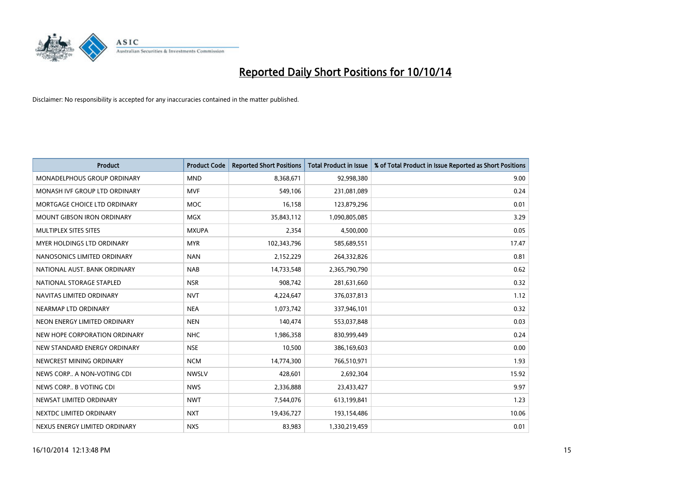

| <b>Product</b>                    | <b>Product Code</b> | <b>Reported Short Positions</b> | <b>Total Product in Issue</b> | % of Total Product in Issue Reported as Short Positions |
|-----------------------------------|---------------------|---------------------------------|-------------------------------|---------------------------------------------------------|
| MONADELPHOUS GROUP ORDINARY       | <b>MND</b>          | 8,368,671                       | 92,998,380                    | 9.00                                                    |
| MONASH IVF GROUP LTD ORDINARY     | MVF                 | 549,106                         | 231,081,089                   | 0.24                                                    |
| MORTGAGE CHOICE LTD ORDINARY      | <b>MOC</b>          | 16,158                          | 123,879,296                   | 0.01                                                    |
| MOUNT GIBSON IRON ORDINARY        | MGX                 | 35,843,112                      | 1,090,805,085                 | 3.29                                                    |
| MULTIPLEX SITES SITES             | <b>MXUPA</b>        | 2,354                           | 4,500,000                     | 0.05                                                    |
| <b>MYER HOLDINGS LTD ORDINARY</b> | <b>MYR</b>          | 102,343,796                     | 585,689,551                   | 17.47                                                   |
| NANOSONICS LIMITED ORDINARY       | <b>NAN</b>          | 2,152,229                       | 264,332,826                   | 0.81                                                    |
| NATIONAL AUST, BANK ORDINARY      | <b>NAB</b>          | 14,733,548                      | 2,365,790,790                 | 0.62                                                    |
| NATIONAL STORAGE STAPLED          | <b>NSR</b>          | 908,742                         | 281,631,660                   | 0.32                                                    |
| NAVITAS LIMITED ORDINARY          | <b>NVT</b>          | 4,224,647                       | 376,037,813                   | 1.12                                                    |
| NEARMAP LTD ORDINARY              | <b>NEA</b>          | 1,073,742                       | 337,946,101                   | 0.32                                                    |
| NEON ENERGY LIMITED ORDINARY      | <b>NEN</b>          | 140,474                         | 553,037,848                   | 0.03                                                    |
| NEW HOPE CORPORATION ORDINARY     | <b>NHC</b>          | 1,986,358                       | 830,999,449                   | 0.24                                                    |
| NEW STANDARD ENERGY ORDINARY      | <b>NSE</b>          | 10,500                          | 386,169,603                   | 0.00                                                    |
| NEWCREST MINING ORDINARY          | <b>NCM</b>          | 14,774,300                      | 766,510,971                   | 1.93                                                    |
| NEWS CORP A NON-VOTING CDI        | <b>NWSLV</b>        | 428,601                         | 2,692,304                     | 15.92                                                   |
| NEWS CORP B VOTING CDI            | <b>NWS</b>          | 2,336,888                       | 23,433,427                    | 9.97                                                    |
| NEWSAT LIMITED ORDINARY           | <b>NWT</b>          | 7,544,076                       | 613,199,841                   | 1.23                                                    |
| NEXTDC LIMITED ORDINARY           | <b>NXT</b>          | 19,436,727                      | 193,154,486                   | 10.06                                                   |
| NEXUS ENERGY LIMITED ORDINARY     | <b>NXS</b>          | 83,983                          | 1,330,219,459                 | 0.01                                                    |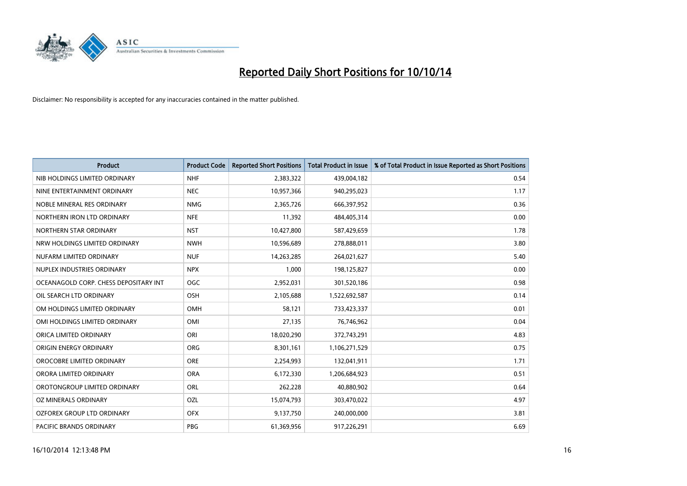

| <b>Product</b>                        | <b>Product Code</b> | <b>Reported Short Positions</b> | <b>Total Product in Issue</b> | % of Total Product in Issue Reported as Short Positions |
|---------------------------------------|---------------------|---------------------------------|-------------------------------|---------------------------------------------------------|
| NIB HOLDINGS LIMITED ORDINARY         | <b>NHF</b>          | 2,383,322                       | 439,004,182                   | 0.54                                                    |
| NINE ENTERTAINMENT ORDINARY           | <b>NEC</b>          | 10,957,366                      | 940,295,023                   | 1.17                                                    |
| NOBLE MINERAL RES ORDINARY            | <b>NMG</b>          | 2,365,726                       | 666,397,952                   | 0.36                                                    |
| NORTHERN IRON LTD ORDINARY            | <b>NFE</b>          | 11,392                          | 484,405,314                   | 0.00                                                    |
| NORTHERN STAR ORDINARY                | <b>NST</b>          | 10,427,800                      | 587,429,659                   | 1.78                                                    |
| NRW HOLDINGS LIMITED ORDINARY         | <b>NWH</b>          | 10,596,689                      | 278,888,011                   | 3.80                                                    |
| NUFARM LIMITED ORDINARY               | <b>NUF</b>          | 14,263,285                      | 264,021,627                   | 5.40                                                    |
| NUPLEX INDUSTRIES ORDINARY            | <b>NPX</b>          | 1,000                           | 198,125,827                   | 0.00                                                    |
| OCEANAGOLD CORP. CHESS DEPOSITARY INT | OGC                 | 2,952,031                       | 301,520,186                   | 0.98                                                    |
| OIL SEARCH LTD ORDINARY               | OSH                 | 2,105,688                       | 1,522,692,587                 | 0.14                                                    |
| OM HOLDINGS LIMITED ORDINARY          | OMH                 | 58,121                          | 733,423,337                   | 0.01                                                    |
| OMI HOLDINGS LIMITED ORDINARY         | <b>OMI</b>          | 27,135                          | 76,746,962                    | 0.04                                                    |
| ORICA LIMITED ORDINARY                | ORI                 | 18,020,290                      | 372,743,291                   | 4.83                                                    |
| ORIGIN ENERGY ORDINARY                | <b>ORG</b>          | 8,301,161                       | 1,106,271,529                 | 0.75                                                    |
| OROCOBRE LIMITED ORDINARY             | <b>ORE</b>          | 2,254,993                       | 132,041,911                   | 1.71                                                    |
| ORORA LIMITED ORDINARY                | <b>ORA</b>          | 6,172,330                       | 1,206,684,923                 | 0.51                                                    |
| OROTONGROUP LIMITED ORDINARY          | ORL                 | 262,228                         | 40,880,902                    | 0.64                                                    |
| <b>OZ MINERALS ORDINARY</b>           | OZL                 | 15,074,793                      | 303,470,022                   | 4.97                                                    |
| OZFOREX GROUP LTD ORDINARY            | <b>OFX</b>          | 9,137,750                       | 240,000,000                   | 3.81                                                    |
| PACIFIC BRANDS ORDINARY               | <b>PBG</b>          | 61,369,956                      | 917,226,291                   | 6.69                                                    |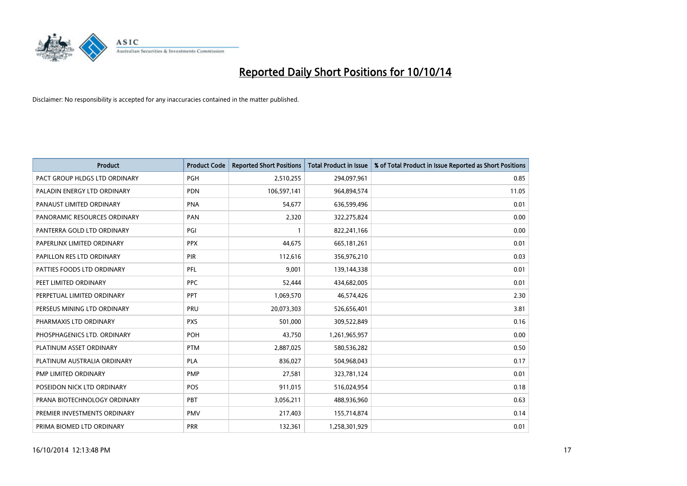

| <b>Product</b>                | <b>Product Code</b> | <b>Reported Short Positions</b> | <b>Total Product in Issue</b> | % of Total Product in Issue Reported as Short Positions |
|-------------------------------|---------------------|---------------------------------|-------------------------------|---------------------------------------------------------|
| PACT GROUP HLDGS LTD ORDINARY | <b>PGH</b>          | 2,510,255                       | 294,097,961                   | 0.85                                                    |
| PALADIN ENERGY LTD ORDINARY   | <b>PDN</b>          | 106,597,141                     | 964,894,574                   | 11.05                                                   |
| PANAUST LIMITED ORDINARY      | <b>PNA</b>          | 54,677                          | 636,599,496                   | 0.01                                                    |
| PANORAMIC RESOURCES ORDINARY  | <b>PAN</b>          | 2,320                           | 322,275,824                   | 0.00                                                    |
| PANTERRA GOLD LTD ORDINARY    | PGI                 | $\mathbf{1}$                    | 822,241,166                   | 0.00                                                    |
| PAPERLINX LIMITED ORDINARY    | <b>PPX</b>          | 44,675                          | 665, 181, 261                 | 0.01                                                    |
| PAPILLON RES LTD ORDINARY     | <b>PIR</b>          | 112,616                         | 356,976,210                   | 0.03                                                    |
| PATTIES FOODS LTD ORDINARY    | PFL                 | 9,001                           | 139,144,338                   | 0.01                                                    |
| PEET LIMITED ORDINARY         | <b>PPC</b>          | 52,444                          | 434,682,005                   | 0.01                                                    |
| PERPETUAL LIMITED ORDINARY    | PPT                 | 1,069,570                       | 46,574,426                    | 2.30                                                    |
| PERSEUS MINING LTD ORDINARY   | PRU                 | 20,073,303                      | 526,656,401                   | 3.81                                                    |
| PHARMAXIS LTD ORDINARY        | <b>PXS</b>          | 501,000                         | 309,522,849                   | 0.16                                                    |
| PHOSPHAGENICS LTD. ORDINARY   | POH                 | 43,750                          | 1,261,965,957                 | 0.00                                                    |
| PLATINUM ASSET ORDINARY       | <b>PTM</b>          | 2,887,025                       | 580,536,282                   | 0.50                                                    |
| PLATINUM AUSTRALIA ORDINARY   | <b>PLA</b>          | 836,027                         | 504,968,043                   | 0.17                                                    |
| PMP LIMITED ORDINARY          | <b>PMP</b>          | 27,581                          | 323,781,124                   | 0.01                                                    |
| POSEIDON NICK LTD ORDINARY    | POS                 | 911,015                         | 516,024,954                   | 0.18                                                    |
| PRANA BIOTECHNOLOGY ORDINARY  | <b>PBT</b>          | 3,056,211                       | 488,936,960                   | 0.63                                                    |
| PREMIER INVESTMENTS ORDINARY  | <b>PMV</b>          | 217,403                         | 155,714,874                   | 0.14                                                    |
| PRIMA BIOMED LTD ORDINARY     | <b>PRR</b>          | 132,361                         | 1,258,301,929                 | 0.01                                                    |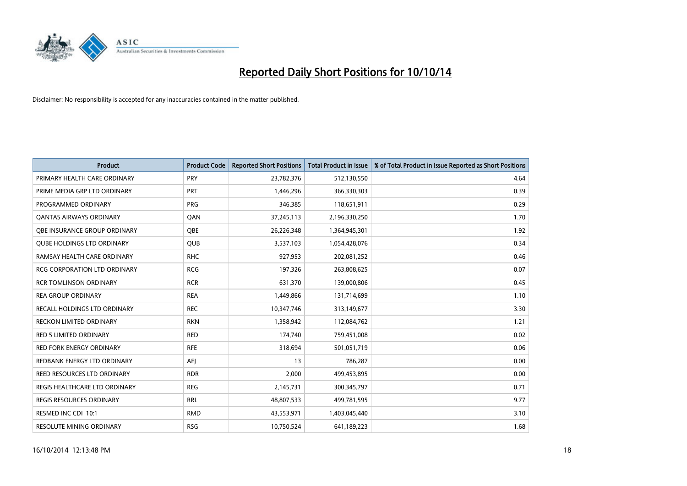

| <b>Product</b>                      | <b>Product Code</b> | <b>Reported Short Positions</b> | <b>Total Product in Issue</b> | % of Total Product in Issue Reported as Short Positions |
|-------------------------------------|---------------------|---------------------------------|-------------------------------|---------------------------------------------------------|
| PRIMARY HEALTH CARE ORDINARY        | PRY                 | 23,782,376                      | 512,130,550                   | 4.64                                                    |
| PRIME MEDIA GRP LTD ORDINARY        | PRT                 | 1,446,296                       | 366,330,303                   | 0.39                                                    |
| PROGRAMMED ORDINARY                 | <b>PRG</b>          | 346,385                         | 118,651,911                   | 0.29                                                    |
| <b>QANTAS AIRWAYS ORDINARY</b>      | QAN                 | 37,245,113                      | 2,196,330,250                 | 1.70                                                    |
| OBE INSURANCE GROUP ORDINARY        | <b>OBE</b>          | 26,226,348                      | 1,364,945,301                 | 1.92                                                    |
| <b>QUBE HOLDINGS LTD ORDINARY</b>   | QUB                 | 3,537,103                       | 1,054,428,076                 | 0.34                                                    |
| RAMSAY HEALTH CARE ORDINARY         | <b>RHC</b>          | 927,953                         | 202,081,252                   | 0.46                                                    |
| <b>RCG CORPORATION LTD ORDINARY</b> | <b>RCG</b>          | 197,326                         | 263,808,625                   | 0.07                                                    |
| <b>RCR TOMLINSON ORDINARY</b>       | <b>RCR</b>          | 631,370                         | 139,000,806                   | 0.45                                                    |
| <b>REA GROUP ORDINARY</b>           | <b>REA</b>          | 1,449,866                       | 131,714,699                   | 1.10                                                    |
| RECALL HOLDINGS LTD ORDINARY        | <b>REC</b>          | 10,347,746                      | 313,149,677                   | 3.30                                                    |
| <b>RECKON LIMITED ORDINARY</b>      | <b>RKN</b>          | 1,358,942                       | 112,084,762                   | 1.21                                                    |
| RED 5 LIMITED ORDINARY              | <b>RED</b>          | 174,740                         | 759,451,008                   | 0.02                                                    |
| <b>RED FORK ENERGY ORDINARY</b>     | <b>RFE</b>          | 318,694                         | 501,051,719                   | 0.06                                                    |
| REDBANK ENERGY LTD ORDINARY         | <b>AEJ</b>          | 13                              | 786,287                       | 0.00                                                    |
| REED RESOURCES LTD ORDINARY         | <b>RDR</b>          | 2,000                           | 499,453,895                   | 0.00                                                    |
| REGIS HEALTHCARE LTD ORDINARY       | <b>REG</b>          | 2,145,731                       | 300, 345, 797                 | 0.71                                                    |
| REGIS RESOURCES ORDINARY            | <b>RRL</b>          | 48,807,533                      | 499,781,595                   | 9.77                                                    |
| RESMED INC CDI 10:1                 | <b>RMD</b>          | 43,553,971                      | 1,403,045,440                 | 3.10                                                    |
| <b>RESOLUTE MINING ORDINARY</b>     | <b>RSG</b>          | 10,750,524                      | 641,189,223                   | 1.68                                                    |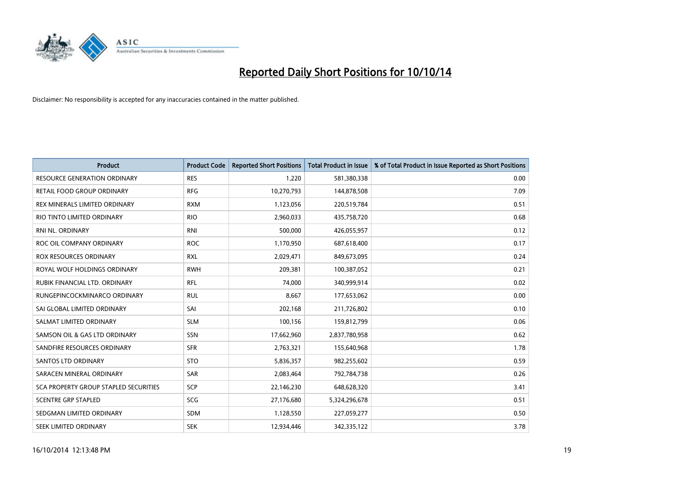

| <b>Product</b>                        | <b>Product Code</b> | <b>Reported Short Positions</b> | <b>Total Product in Issue</b> | % of Total Product in Issue Reported as Short Positions |
|---------------------------------------|---------------------|---------------------------------|-------------------------------|---------------------------------------------------------|
| <b>RESOURCE GENERATION ORDINARY</b>   | <b>RES</b>          | 1,220                           | 581,380,338                   | 0.00                                                    |
| <b>RETAIL FOOD GROUP ORDINARY</b>     | <b>RFG</b>          | 10,270,793                      | 144,878,508                   | 7.09                                                    |
| REX MINERALS LIMITED ORDINARY         | <b>RXM</b>          | 1,123,056                       | 220,519,784                   | 0.51                                                    |
| RIO TINTO LIMITED ORDINARY            | <b>RIO</b>          | 2,960,033                       | 435,758,720                   | 0.68                                                    |
| <b>RNI NL. ORDINARY</b>               | <b>RNI</b>          | 500,000                         | 426,055,957                   | 0.12                                                    |
| ROC OIL COMPANY ORDINARY              | <b>ROC</b>          | 1,170,950                       | 687,618,400                   | 0.17                                                    |
| <b>ROX RESOURCES ORDINARY</b>         | <b>RXL</b>          | 2,029,471                       | 849,673,095                   | 0.24                                                    |
| ROYAL WOLF HOLDINGS ORDINARY          | <b>RWH</b>          | 209,381                         | 100,387,052                   | 0.21                                                    |
| RUBIK FINANCIAL LTD. ORDINARY         | <b>RFL</b>          | 74,000                          | 340,999,914                   | 0.02                                                    |
| RUNGEPINCOCKMINARCO ORDINARY          | <b>RUL</b>          | 8,667                           | 177,653,062                   | 0.00                                                    |
| SAI GLOBAL LIMITED ORDINARY           | SAI                 | 202,168                         | 211,726,802                   | 0.10                                                    |
| SALMAT LIMITED ORDINARY               | <b>SLM</b>          | 100,156                         | 159,812,799                   | 0.06                                                    |
| SAMSON OIL & GAS LTD ORDINARY         | SSN                 | 17,662,960                      | 2,837,780,958                 | 0.62                                                    |
| SANDFIRE RESOURCES ORDINARY           | <b>SFR</b>          | 2,763,321                       | 155,640,968                   | 1.78                                                    |
| <b>SANTOS LTD ORDINARY</b>            | <b>STO</b>          | 5,836,357                       | 982,255,602                   | 0.59                                                    |
| SARACEN MINERAL ORDINARY              | SAR                 | 2,083,464                       | 792,784,738                   | 0.26                                                    |
| SCA PROPERTY GROUP STAPLED SECURITIES | <b>SCP</b>          | 22,146,230                      | 648,628,320                   | 3.41                                                    |
| <b>SCENTRE GRP STAPLED</b>            | SCG                 | 27,176,680                      | 5,324,296,678                 | 0.51                                                    |
| SEDGMAN LIMITED ORDINARY              | <b>SDM</b>          | 1,128,550                       | 227,059,277                   | 0.50                                                    |
| <b>SEEK LIMITED ORDINARY</b>          | <b>SEK</b>          | 12,934,446                      | 342,335,122                   | 3.78                                                    |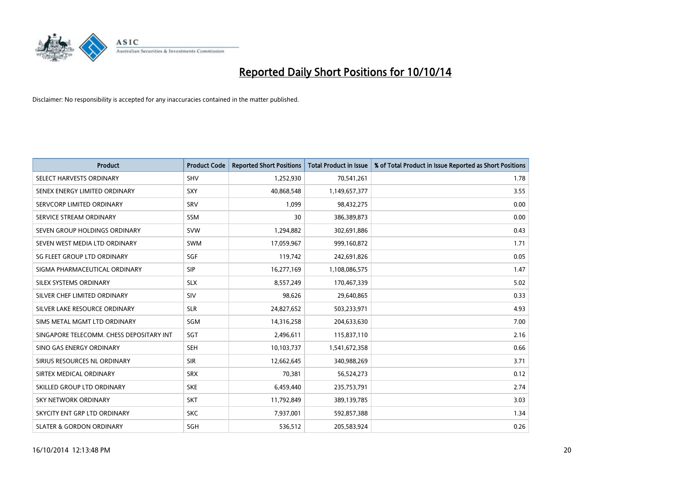

| <b>Product</b>                           | <b>Product Code</b> | <b>Reported Short Positions</b> | <b>Total Product in Issue</b> | % of Total Product in Issue Reported as Short Positions |
|------------------------------------------|---------------------|---------------------------------|-------------------------------|---------------------------------------------------------|
| SELECT HARVESTS ORDINARY                 | SHV                 | 1,252,930                       | 70,541,261                    | 1.78                                                    |
| SENEX ENERGY LIMITED ORDINARY            | <b>SXY</b>          | 40,868,548                      | 1,149,657,377                 | 3.55                                                    |
| SERVCORP LIMITED ORDINARY                | SRV                 | 1,099                           | 98,432,275                    | 0.00                                                    |
| SERVICE STREAM ORDINARY                  | <b>SSM</b>          | 30                              | 386,389,873                   | 0.00                                                    |
| SEVEN GROUP HOLDINGS ORDINARY            | <b>SVW</b>          | 1,294,882                       | 302,691,886                   | 0.43                                                    |
| SEVEN WEST MEDIA LTD ORDINARY            | SWM                 | 17,059,967                      | 999,160,872                   | 1.71                                                    |
| SG FLEET GROUP LTD ORDINARY              | <b>SGF</b>          | 119,742                         | 242,691,826                   | 0.05                                                    |
| SIGMA PHARMACEUTICAL ORDINARY            | <b>SIP</b>          | 16,277,169                      | 1,108,086,575                 | 1.47                                                    |
| SILEX SYSTEMS ORDINARY                   | <b>SLX</b>          | 8,557,249                       | 170,467,339                   | 5.02                                                    |
| SILVER CHEF LIMITED ORDINARY             | SIV                 | 98,626                          | 29,640,865                    | 0.33                                                    |
| SILVER LAKE RESOURCE ORDINARY            | <b>SLR</b>          | 24,827,652                      | 503,233,971                   | 4.93                                                    |
| SIMS METAL MGMT LTD ORDINARY             | SGM                 | 14,316,258                      | 204,633,630                   | 7.00                                                    |
| SINGAPORE TELECOMM. CHESS DEPOSITARY INT | <b>SGT</b>          | 2,496,611                       | 115,837,110                   | 2.16                                                    |
| SINO GAS ENERGY ORDINARY                 | SEH                 | 10,103,737                      | 1,541,672,358                 | 0.66                                                    |
| SIRIUS RESOURCES NL ORDINARY             | <b>SIR</b>          | 12,662,645                      | 340,988,269                   | 3.71                                                    |
| SIRTEX MEDICAL ORDINARY                  | <b>SRX</b>          | 70,381                          | 56,524,273                    | 0.12                                                    |
| SKILLED GROUP LTD ORDINARY               | <b>SKE</b>          | 6,459,440                       | 235,753,791                   | 2.74                                                    |
| SKY NETWORK ORDINARY                     | <b>SKT</b>          | 11,792,849                      | 389,139,785                   | 3.03                                                    |
| SKYCITY ENT GRP LTD ORDINARY             | <b>SKC</b>          | 7,937,001                       | 592,857,388                   | 1.34                                                    |
| <b>SLATER &amp; GORDON ORDINARY</b>      | SGH                 | 536,512                         | 205,583,924                   | 0.26                                                    |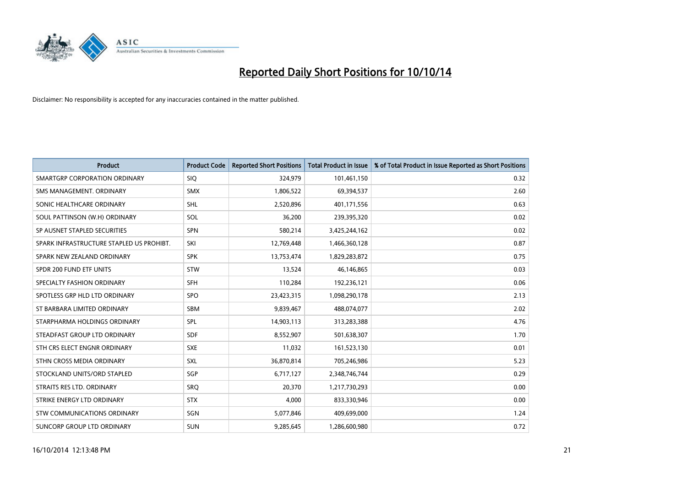

| <b>Product</b>                           | <b>Product Code</b> | <b>Reported Short Positions</b> | <b>Total Product in Issue</b> | % of Total Product in Issue Reported as Short Positions |
|------------------------------------------|---------------------|---------------------------------|-------------------------------|---------------------------------------------------------|
| SMARTGRP CORPORATION ORDINARY            | <b>SIQ</b>          | 324,979                         | 101,461,150                   | 0.32                                                    |
| SMS MANAGEMENT, ORDINARY                 | <b>SMX</b>          | 1,806,522                       | 69,394,537                    | 2.60                                                    |
| SONIC HEALTHCARE ORDINARY                | <b>SHL</b>          | 2,520,896                       | 401,171,556                   | 0.63                                                    |
| SOUL PATTINSON (W.H) ORDINARY            | SOL                 | 36,200                          | 239,395,320                   | 0.02                                                    |
| SP AUSNET STAPLED SECURITIES             | <b>SPN</b>          | 580,214                         | 3,425,244,162                 | 0.02                                                    |
| SPARK INFRASTRUCTURE STAPLED US PROHIBT. | SKI                 | 12,769,448                      | 1,466,360,128                 | 0.87                                                    |
| SPARK NEW ZEALAND ORDINARY               | <b>SPK</b>          | 13,753,474                      | 1,829,283,872                 | 0.75                                                    |
| SPDR 200 FUND ETF UNITS                  | <b>STW</b>          | 13,524                          | 46,146,865                    | 0.03                                                    |
| SPECIALTY FASHION ORDINARY               | <b>SFH</b>          | 110,284                         | 192,236,121                   | 0.06                                                    |
| SPOTLESS GRP HLD LTD ORDINARY            | <b>SPO</b>          | 23,423,315                      | 1,098,290,178                 | 2.13                                                    |
| ST BARBARA LIMITED ORDINARY              | <b>SBM</b>          | 9,839,467                       | 488,074,077                   | 2.02                                                    |
| STARPHARMA HOLDINGS ORDINARY             | SPL                 | 14,903,113                      | 313,283,388                   | 4.76                                                    |
| STEADFAST GROUP LTD ORDINARY             | <b>SDF</b>          | 8,552,907                       | 501,638,307                   | 1.70                                                    |
| STH CRS ELECT ENGNR ORDINARY             | <b>SXE</b>          | 11,032                          | 161,523,130                   | 0.01                                                    |
| STHN CROSS MEDIA ORDINARY                | <b>SXL</b>          | 36,870,814                      | 705,246,986                   | 5.23                                                    |
| STOCKLAND UNITS/ORD STAPLED              | SGP                 | 6,717,127                       | 2,348,746,744                 | 0.29                                                    |
| STRAITS RES LTD. ORDINARY                | <b>SRQ</b>          | 20,370                          | 1,217,730,293                 | 0.00                                                    |
| STRIKE ENERGY LTD ORDINARY               | <b>STX</b>          | 4,000                           | 833,330,946                   | 0.00                                                    |
| STW COMMUNICATIONS ORDINARY              | SGN                 | 5,077,846                       | 409,699,000                   | 1.24                                                    |
| SUNCORP GROUP LTD ORDINARY               | <b>SUN</b>          | 9,285,645                       | 1,286,600,980                 | 0.72                                                    |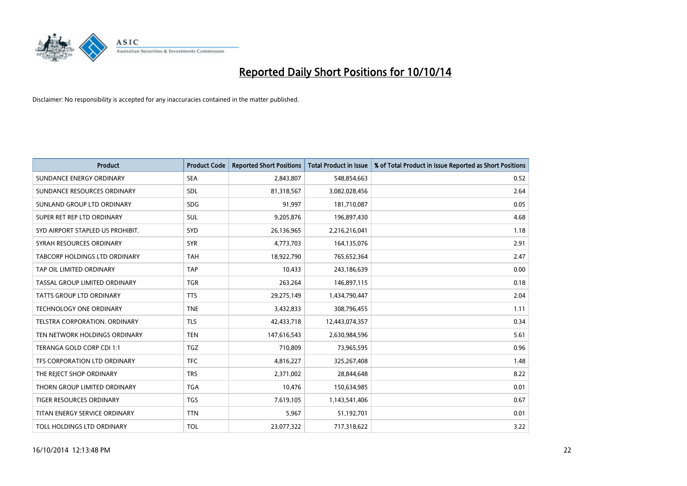

| <b>Product</b>                       | <b>Product Code</b> | <b>Reported Short Positions</b> | <b>Total Product in Issue</b> | % of Total Product in Issue Reported as Short Positions |
|--------------------------------------|---------------------|---------------------------------|-------------------------------|---------------------------------------------------------|
| SUNDANCE ENERGY ORDINARY             | <b>SEA</b>          | 2,843,807                       | 548,854,663                   | 0.52                                                    |
| SUNDANCE RESOURCES ORDINARY          | SDL                 | 81,318,567                      | 3,082,028,456                 | 2.64                                                    |
| SUNLAND GROUP LTD ORDINARY           | <b>SDG</b>          | 91,997                          | 181,710,087                   | 0.05                                                    |
| SUPER RET REP LTD ORDINARY           | <b>SUL</b>          | 9,205,876                       | 196,897,430                   | 4.68                                                    |
| SYD AIRPORT STAPLED US PROHIBIT.     | SYD                 | 26,136,965                      | 2,216,216,041                 | 1.18                                                    |
| SYRAH RESOURCES ORDINARY             | <b>SYR</b>          | 4,773,703                       | 164,135,076                   | 2.91                                                    |
| <b>TABCORP HOLDINGS LTD ORDINARY</b> | TAH                 | 18,922,790                      | 765,652,364                   | 2.47                                                    |
| TAP OIL LIMITED ORDINARY             | <b>TAP</b>          | 10,433                          | 243,186,639                   | 0.00                                                    |
| TASSAL GROUP LIMITED ORDINARY        | <b>TGR</b>          | 263,264                         | 146,897,115                   | 0.18                                                    |
| <b>TATTS GROUP LTD ORDINARY</b>      | <b>TTS</b>          | 29,275,149                      | 1,434,790,447                 | 2.04                                                    |
| TECHNOLOGY ONE ORDINARY              | <b>TNE</b>          | 3,432,833                       | 308,796,455                   | 1.11                                                    |
| <b>TELSTRA CORPORATION, ORDINARY</b> | <b>TLS</b>          | 42,433,718                      | 12,443,074,357                | 0.34                                                    |
| TEN NETWORK HOLDINGS ORDINARY        | <b>TEN</b>          | 147,616,543                     | 2,630,984,596                 | 5.61                                                    |
| TERANGA GOLD CORP CDI 1:1            | <b>TGZ</b>          | 710,809                         | 73,965,595                    | 0.96                                                    |
| TFS CORPORATION LTD ORDINARY         | <b>TFC</b>          | 4,816,227                       | 325,267,408                   | 1.48                                                    |
| THE REJECT SHOP ORDINARY             | <b>TRS</b>          | 2,371,002                       | 28,844,648                    | 8.22                                                    |
| THORN GROUP LIMITED ORDINARY         | <b>TGA</b>          | 10,476                          | 150,634,985                   | 0.01                                                    |
| TIGER RESOURCES ORDINARY             | <b>TGS</b>          | 7,619,105                       | 1,143,541,406                 | 0.67                                                    |
| TITAN ENERGY SERVICE ORDINARY        | <b>TTN</b>          | 5,967                           | 51,192,701                    | 0.01                                                    |
| TOLL HOLDINGS LTD ORDINARY           | <b>TOL</b>          | 23,077,322                      | 717,318,622                   | 3.22                                                    |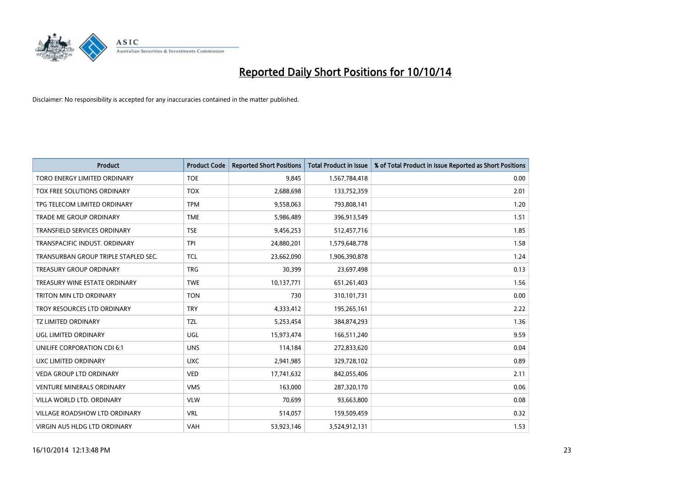

| <b>Product</b>                       | <b>Product Code</b> | <b>Reported Short Positions</b> | <b>Total Product in Issue</b> | % of Total Product in Issue Reported as Short Positions |
|--------------------------------------|---------------------|---------------------------------|-------------------------------|---------------------------------------------------------|
| TORO ENERGY LIMITED ORDINARY         | <b>TOE</b>          | 9,845                           | 1,567,784,418                 | 0.00                                                    |
| TOX FREE SOLUTIONS ORDINARY          | <b>TOX</b>          | 2,688,698                       | 133,752,359                   | 2.01                                                    |
| TPG TELECOM LIMITED ORDINARY         | <b>TPM</b>          | 9,558,063                       | 793,808,141                   | 1.20                                                    |
| TRADE ME GROUP ORDINARY              | <b>TME</b>          | 5,986,489                       | 396,913,549                   | 1.51                                                    |
| <b>TRANSFIELD SERVICES ORDINARY</b>  | <b>TSE</b>          | 9,456,253                       | 512,457,716                   | 1.85                                                    |
| TRANSPACIFIC INDUST, ORDINARY        | <b>TPI</b>          | 24,880,201                      | 1,579,648,778                 | 1.58                                                    |
| TRANSURBAN GROUP TRIPLE STAPLED SEC. | <b>TCL</b>          | 23,662,090                      | 1,906,390,878                 | 1.24                                                    |
| TREASURY GROUP ORDINARY              | <b>TRG</b>          | 30,399                          | 23,697,498                    | 0.13                                                    |
| TREASURY WINE ESTATE ORDINARY        | <b>TWE</b>          | 10,137,771                      | 651,261,403                   | 1.56                                                    |
| <b>TRITON MIN LTD ORDINARY</b>       | <b>TON</b>          | 730                             | 310,101,731                   | 0.00                                                    |
| TROY RESOURCES LTD ORDINARY          | <b>TRY</b>          | 4,333,412                       | 195,265,161                   | 2.22                                                    |
| <b>TZ LIMITED ORDINARY</b>           | <b>TZL</b>          | 5,253,454                       | 384,874,293                   | 1.36                                                    |
| UGL LIMITED ORDINARY                 | UGL                 | 15,973,474                      | 166,511,240                   | 9.59                                                    |
| <b>UNILIFE CORPORATION CDI 6:1</b>   | <b>UNS</b>          | 114,184                         | 272,833,620                   | 0.04                                                    |
| UXC LIMITED ORDINARY                 | <b>UXC</b>          | 2,941,985                       | 329,728,102                   | 0.89                                                    |
| VEDA GROUP LTD ORDINARY              | <b>VED</b>          | 17,741,632                      | 842,055,406                   | 2.11                                                    |
| VENTURE MINERALS ORDINARY            | <b>VMS</b>          | 163,000                         | 287,320,170                   | 0.06                                                    |
| VILLA WORLD LTD. ORDINARY            | <b>VLW</b>          | 70,699                          | 93,663,800                    | 0.08                                                    |
| <b>VILLAGE ROADSHOW LTD ORDINARY</b> | <b>VRL</b>          | 514,057                         | 159,509,459                   | 0.32                                                    |
| VIRGIN AUS HLDG LTD ORDINARY         | VAH                 | 53,923,146                      | 3,524,912,131                 | 1.53                                                    |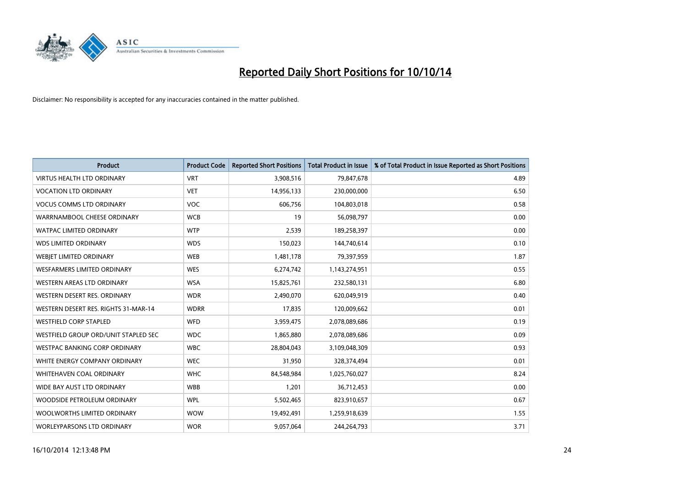

| <b>Product</b>                       | <b>Product Code</b> | <b>Reported Short Positions</b> | <b>Total Product in Issue</b> | % of Total Product in Issue Reported as Short Positions |
|--------------------------------------|---------------------|---------------------------------|-------------------------------|---------------------------------------------------------|
| <b>VIRTUS HEALTH LTD ORDINARY</b>    | <b>VRT</b>          | 3,908,516                       | 79,847,678                    | 4.89                                                    |
| <b>VOCATION LTD ORDINARY</b>         | <b>VET</b>          | 14,956,133                      | 230,000,000                   | 6.50                                                    |
| <b>VOCUS COMMS LTD ORDINARY</b>      | VOC                 | 606,756                         | 104,803,018                   | 0.58                                                    |
| WARRNAMBOOL CHEESE ORDINARY          | <b>WCB</b>          | 19                              | 56,098,797                    | 0.00                                                    |
| <b>WATPAC LIMITED ORDINARY</b>       | <b>WTP</b>          | 2,539                           | 189,258,397                   | 0.00                                                    |
| <b>WDS LIMITED ORDINARY</b>          | <b>WDS</b>          | 150,023                         | 144,740,614                   | 0.10                                                    |
| <b>WEBIET LIMITED ORDINARY</b>       | <b>WEB</b>          | 1,481,178                       | 79,397,959                    | 1.87                                                    |
| <b>WESFARMERS LIMITED ORDINARY</b>   | <b>WES</b>          | 6,274,742                       | 1,143,274,951                 | 0.55                                                    |
| <b>WESTERN AREAS LTD ORDINARY</b>    | <b>WSA</b>          | 15,825,761                      | 232,580,131                   | 6.80                                                    |
| WESTERN DESERT RES. ORDINARY         | <b>WDR</b>          | 2,490,070                       | 620,049,919                   | 0.40                                                    |
| WESTERN DESERT RES. RIGHTS 31-MAR-14 | <b>WDRR</b>         | 17,835                          | 120,009,662                   | 0.01                                                    |
| <b>WESTFIELD CORP STAPLED</b>        | WFD                 | 3,959,475                       | 2,078,089,686                 | 0.19                                                    |
| WESTFIELD GROUP ORD/UNIT STAPLED SEC | <b>WDC</b>          | 1,865,880                       | 2,078,089,686                 | 0.09                                                    |
| <b>WESTPAC BANKING CORP ORDINARY</b> | <b>WBC</b>          | 28,804,043                      | 3,109,048,309                 | 0.93                                                    |
| WHITE ENERGY COMPANY ORDINARY        | <b>WEC</b>          | 31,950                          | 328,374,494                   | 0.01                                                    |
| WHITEHAVEN COAL ORDINARY             | <b>WHC</b>          | 84,548,984                      | 1,025,760,027                 | 8.24                                                    |
| WIDE BAY AUST LTD ORDINARY           | <b>WBB</b>          | 1,201                           | 36,712,453                    | 0.00                                                    |
| WOODSIDE PETROLEUM ORDINARY          | <b>WPL</b>          | 5,502,465                       | 823,910,657                   | 0.67                                                    |
| WOOLWORTHS LIMITED ORDINARY          | <b>WOW</b>          | 19,492,491                      | 1,259,918,639                 | 1.55                                                    |
| WORLEYPARSONS LTD ORDINARY           | <b>WOR</b>          | 9,057,064                       | 244,264,793                   | 3.71                                                    |